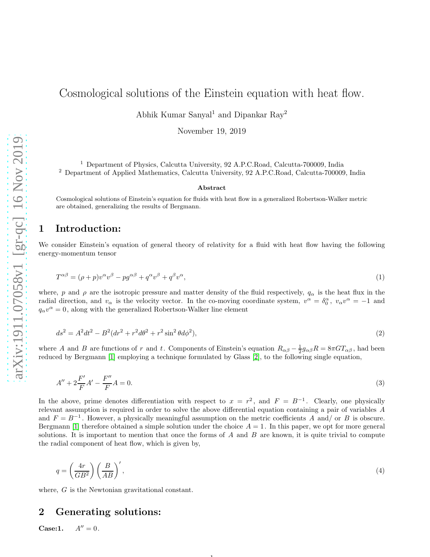# Cosmological solutions of the Einstein equation with heat flow.

Abhik Kumar Sanyal<sup>1</sup> and Dipankar Ray<sup>2</sup>

November 19, 2019

<sup>1</sup> Department of Physics, Calcutta University, 92 A.P.C.Road, Calcutta-700009, India <sup>2</sup> Department of Applied Mathematics, Calcutta University, 92 A.P.C.Road, Calcutta-700009, India

#### Abstract

Cosmological solutions of Einstein's equation for fluids with heat flow in a generalized Robertson-Walker metric are obtained, generalizing the results of Bergmann.

#### 1 Introduction:

We consider Einstein's equation of general theory of relativity for a fluid with heat flow having the following energy-momentum tensor

$$
T^{\alpha\beta} = (\rho + p)v^{\alpha}v^{\beta} - pg^{\alpha\beta} + q^{\alpha}v^{\beta} + q^{\beta}v^{\alpha},\tag{1}
$$

where, p and  $\rho$  are the isotropic pressure and matter density of the fluid respectively,  $q_\alpha$  is the heat flux in the radial direction, and  $v_{\alpha}$  is the velocity vector. In the co-moving coordinate system,  $v^{\alpha} = \delta_0^{\alpha}$ ,  $v_{\alpha}v^{\alpha} = -1$  and  $q_{\alpha}v^{\alpha} = 0$ , along with the generalized Robertson-Walker line element

$$
ds^{2} = A^{2}dt^{2} - B^{2}(dr^{2} + r^{2}d\theta^{2} + r^{2}\sin^{2}\theta d\phi^{2}),
$$
\n(2)

where A and B are functions of r and t. Components of Einstein's equation  $R_{\alpha\beta} - \frac{1}{2}g_{\alpha\beta}R = 8\pi GT_{\alpha\beta}$ , had been reduced by Bergmann [\[1\]](#page-3-0) employing a technique formulated by Glass [\[2\]](#page-3-1), to the following single equation,

$$
A'' + 2\frac{F'}{F}A' - \frac{F''}{F}A = 0.
$$
\n(3)

In the above, prime denotes differentiation with respect to  $x = r^2$ , and  $F = B^{-1}$ . Clearly, one physically relevant assumption is required in order to solve the above differential equation containing a pair of variables A and  $F = B^{-1}$ . However, a physically meaningful assumption on the metric coefficients A and/ or B is obscure. Bergmann [\[1\]](#page-3-0) therefore obtained a simple solution under the choice  $A = 1$ . In this paper, we opt for more general solutions. It is important to mention that once the forms of  $A$  and  $B$  are known, it is quite trivial to compute the radial component of heat flow, which is given by,

$$
q = \left(\frac{4r}{GB^2}\right)\left(\frac{B}{AB}\right)',\tag{4}
$$

1

where, G is the Newtonian gravitational constant.

## 2 Generating solutions:

**Case:1.**  $A'' = 0$ .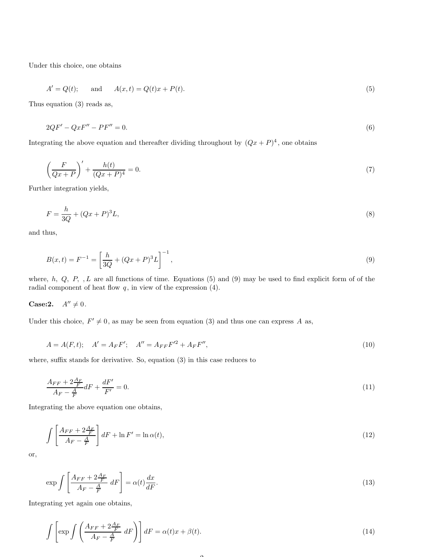Under this choice, one obtains

$$
A' = Q(t);
$$
 and  $A(x,t) = Q(t)x + P(t).$  (5)

Thus equation (3) reads as,

$$
2QF' - QxF'' - PF'' = 0.\tag{6}
$$

Integrating the above equation and thereafter dividing throughout by  $(Qx + P)^4$ , one obtains

$$
\left(\frac{F}{Qx+P}\right)' + \frac{h(t)}{(Qx+P)^4} = 0.\tag{7}
$$

Further integration yields,

$$
F = \frac{h}{3Q} + (Qx + P)^3 L,\tag{8}
$$

and thus,

$$
B(x,t) = F^{-1} = \left[\frac{h}{3Q} + (Qx + P)^3 L\right]^{-1},\tag{9}
$$

where,  $h, Q, P, I$  are all functions of time. Equations (5) and (9) may be used to find explicit form of of the radial component of heat flow  $q$ , in view of the expression  $(4)$ .

Case:2.  $A'' \neq 0$ .

Under this choice,  $F' \neq 0$ , as may be seen from equation (3) and thus one can express A as,

$$
A = A(F, t); \quad A' = A_F F'; \quad A'' = A_{FF} F'^2 + A_F F'', \tag{10}
$$

where, suffix stands for derivative. So, equation (3) in this case reduces to

$$
\frac{A_{FF} + 2\frac{A_F}{F}}{A_F - \frac{A}{F}} dF + \frac{dF'}{F'} = 0.
$$
\n(11)

Integrating the above equation one obtains,

$$
\int \left[ \frac{A_{FF} + 2\frac{A_F}{F}}{A_F - \frac{A}{F}} \right] dF + \ln F' = \ln \alpha(t),\tag{12}
$$

or,

$$
\exp\int \left[\frac{A_{FF} + 2\frac{A_F}{F}}{A_F - \frac{A}{F}} \, dF\right] = \alpha(t)\frac{dx}{dF}.\tag{13}
$$

Integrating yet again one obtains,

$$
\int \left[ \exp \int \left( \frac{A_{FF} + 2\frac{A_F}{F}}{A_F - \frac{A}{F}} \, dF \right) \right] dF = \alpha(t)x + \beta(t). \tag{14}
$$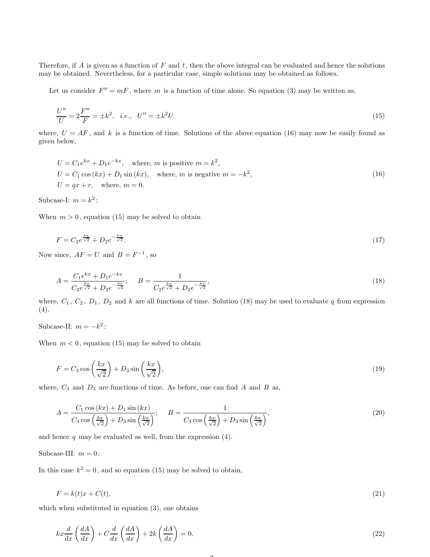Therefore, if A is given as a function of F and t, then the above integral can be evaluated and hence the solutions may be obtained. Nevertheless, for a particular case, simple solutions may be obtained as follows.

Let us consider  $F'' = mF$ , where m is a function of time alone. So equation (3) may be written as,

$$
\frac{U''}{U} = 2\frac{F''}{F} = \pm k^2, \quad i.e., \quad U'' = \pm k^2 U\tag{15}
$$

where,  $U = AF$ , and k is a function of time. Solutions of the above equation (16) may now be easily found as given below,

$$
U = C_1 e^{kx} + D_1 e^{-kx}, \text{ where, } m \text{ is positive } m = k^2,
$$
  
\n
$$
U = C_1 \cos(kx) + D_1 \sin(kx), \text{ where, } m \text{ is negative } m = -k^2,
$$
  
\n
$$
U = qx + r, \text{ where, } m = 0.
$$
\n(16)

Subcase-I:  $m = k^2$ :

When  $m > 0$ , equation (15) may be solved to obtain

$$
F = C_2 e^{\frac{kx}{\sqrt{2}}} + D_2 e^{-\frac{kx}{\sqrt{2}}}.
$$
\n(17)

Now since,  $AF = U$  and  $B = F^{-1}$ , so

$$
A = \frac{C_1 e^{kx} + D_1 e^{-kx}}{C_2 e^{\frac{kx}{\sqrt{2}}} + D_2 e^{-\frac{kx}{\sqrt{2}}}}; \qquad B = \frac{1}{C_2 e^{\frac{kx}{\sqrt{2}}} + D_2 e^{-\frac{kx}{\sqrt{2}}}},
$$
\n(18)

where,  $C_1$ ,  $C_2$ ,  $D_1$ ,  $D_2$  and k are all functions of time. Solution (18) may be used to evaluate q from expression (4).

Subcase-II:  $m = -k^2$ :

When  $m < 0$ , equation (15) may be solved to obtain

$$
F = C_3 \cos\left(\frac{kx}{\sqrt{2}}\right) + D_3 \sin\left(\frac{kx}{\sqrt{2}}\right),\tag{19}
$$

where,  $C_3$  and  $D_3$  are functions of time. As before, one can find A and B as,

$$
A = \frac{C_1 \cos(kx) + D_1 \sin(kx)}{C_3 \cos\left(\frac{kx}{\sqrt{2}}\right) + D_3 \sin\left(\frac{kx}{\sqrt{2}}\right)}; \qquad B = \frac{1}{C_3 \cos\left(\frac{kx}{\sqrt{2}}\right) + D_3 \sin\left(\frac{kx}{\sqrt{2}}\right)},\tag{20}
$$

and hence  $q$  may be evaluated as well, from the expression  $(4)$ .

Subcase-III:  $m = 0$ :

In this case  $k^2 = 0$ , and so equation (15) may be solved to obtain,

$$
F = k(t)x + C(t),\tag{21}
$$

which when substituted in equation (3), one obtains

$$
kx\frac{d}{dx}\left(\frac{dA}{dx}\right) + C\frac{d}{dx}\left(\frac{dA}{dx}\right) + 2k\left(\frac{dA}{dx}\right) = 0.
$$
\n(22)

 $\Omega$